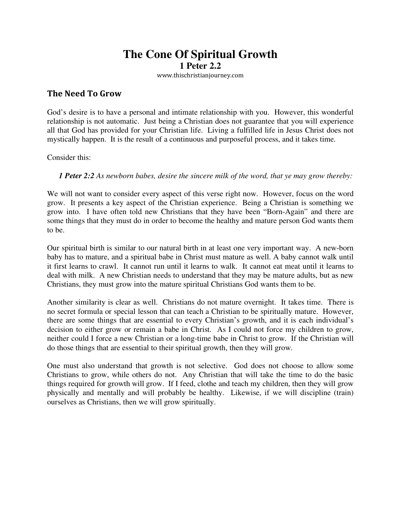# **The Cone Of Spiritual Growth 1 Peter 2.2**

www.thischristianjourney.com

## **The Need To Grow**

God's desire is to have a personal and intimate relationship with you. However, this wonderful relationship is not automatic. Just being a Christian does not guarantee that you will experience all that God has provided for your Christian life. Living a fulfilled life in Jesus Christ does not mystically happen. It is the result of a continuous and purposeful process, and it takes time.

Consider this:

#### *1 Peter 2:2 As newborn babes, desire the sincere milk of the word, that ye may grow thereby:*

We will not want to consider every aspect of this verse right now. However, focus on the word grow. It presents a key aspect of the Christian experience. Being a Christian is something we grow into. I have often told new Christians that they have been "Born-Again" and there are some things that they must do in order to become the healthy and mature person God wants them to be.

Our spiritual birth is similar to our natural birth in at least one very important way. A new-born baby has to mature, and a spiritual babe in Christ must mature as well. A baby cannot walk until it first learns to crawl. It cannot run until it learns to walk. It cannot eat meat until it learns to deal with milk. A new Christian needs to understand that they may be mature adults, but as new Christians, they must grow into the mature spiritual Christians God wants them to be.

Another similarity is clear as well. Christians do not mature overnight. It takes time. There is no secret formula or special lesson that can teach a Christian to be spiritually mature. However, there are some things that are essential to every Christian's growth, and it is each individual's decision to either grow or remain a babe in Christ. As I could not force my children to grow, neither could I force a new Christian or a long-time babe in Christ to grow. If the Christian will do those things that are essential to their spiritual growth, then they will grow.

One must also understand that growth is not selective. God does not choose to allow some Christians to grow, while others do not. Any Christian that will take the time to do the basic things required for growth will grow. If I feed, clothe and teach my children, then they will grow physically and mentally and will probably be healthy. Likewise, if we will discipline (train) ourselves as Christians, then we will grow spiritually.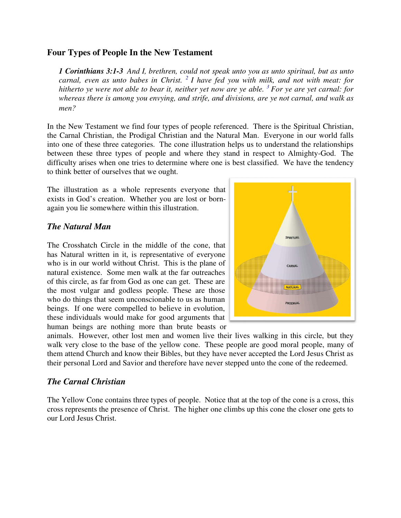#### **Four Types of People In the New Testament**

*1 Corinthians 3:1-3 And I, brethren, could not speak unto you as unto spiritual, but as unto carnal, even as unto babes in Christ. <sup>2</sup>I have fed you with milk, and not with meat: for hitherto ye were not able to bear it, neither yet now are ye able. <sup>3</sup>For ye are yet carnal: for whereas there is among you envying, and strife, and divisions, are ye not carnal, and walk as men?* 

In the New Testament we find four types of people referenced. There is the Spiritual Christian, the Carnal Christian, the Prodigal Christian and the Natural Man. Everyone in our world falls into one of these three categories. The cone illustration helps us to understand the relationships between these three types of people and where they stand in respect to Almighty-God. The difficulty arises when one tries to determine where one is best classified. We have the tendency to think better of ourselves that we ought.

The illustration as a whole represents everyone that exists in God's creation. Whether you are lost or bornagain you lie somewhere within this illustration.

### *The Natural Man*

The Crosshatch Circle in the middle of the cone, that has Natural written in it, is representative of everyone who is in our world without Christ. This is the plane of natural existence. Some men walk at the far outreaches of this circle, as far from God as one can get. These are the most vulgar and godless people. These are those who do things that seem unconscionable to us as human beings. If one were compelled to believe in evolution, these individuals would make for good arguments that human beings are nothing more than brute beasts or



animals. However, other lost men and women live their lives walking in this circle, but they walk very close to the base of the yellow cone. These people are good moral people, many of them attend Church and know their Bibles, but they have never accepted the Lord Jesus Christ as their personal Lord and Savior and therefore have never stepped unto the cone of the redeemed.

### *The Carnal Christian*

The Yellow Cone contains three types of people. Notice that at the top of the cone is a cross, this cross represents the presence of Christ. The higher one climbs up this cone the closer one gets to our Lord Jesus Christ.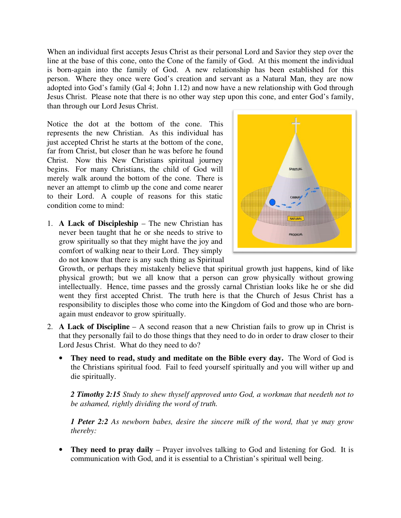When an individual first accepts Jesus Christ as their personal Lord and Savior they step over the line at the base of this cone, onto the Cone of the family of God. At this moment the individual is born-again into the family of God. A new relationship has been established for this person. Where they once were God's creation and servant as a Natural Man, they are now adopted into God's family (Gal 4; John 1.12) and now have a new relationship with God through Jesus Christ. Please note that there is no other way step upon this cone, and enter God's family, than through our Lord Jesus Christ.

Notice the dot at the bottom of the cone. This represents the new Christian. As this individual has just accepted Christ he starts at the bottom of the cone, far from Christ, but closer than he was before he found Christ. Now this New Christians spiritual journey begins. For many Christians, the child of God will merely walk around the bottom of the cone. There is never an attempt to climb up the cone and come nearer to their Lord. A couple of reasons for this static condition come to mind:

1. **A Lack of Discipleship** – The new Christian has never been taught that he or she needs to strive to grow spiritually so that they might have the joy and comfort of walking near to their Lord. They simply do not know that there is any such thing as Spiritual



Growth, or perhaps they mistakenly believe that spiritual growth just happens, kind of like physical growth; but we all know that a person can grow physically without growing intellectually. Hence, time passes and the grossly carnal Christian looks like he or she did went they first accepted Christ. The truth here is that the Church of Jesus Christ has a responsibility to disciples those who come into the Kingdom of God and those who are bornagain must endeavor to grow spiritually.

- 2. **A Lack of Discipline**  A second reason that a new Christian fails to grow up in Christ is that they personally fail to do those things that they need to do in order to draw closer to their Lord Jesus Christ. What do they need to do?
	- **They need to read, study and meditate on the Bible every day.** The Word of God is the Christians spiritual food. Fail to feed yourself spiritually and you will wither up and die spiritually.

*2 Timothy 2:15 Study to shew thyself approved unto God, a workman that needeth not to be ashamed, rightly dividing the word of truth.* 

*1 Peter 2:2 As newborn babes, desire the sincere milk of the word, that ye may grow thereby:* 

• **They need to pray daily** – Prayer involves talking to God and listening for God. It is communication with God, and it is essential to a Christian's spiritual well being.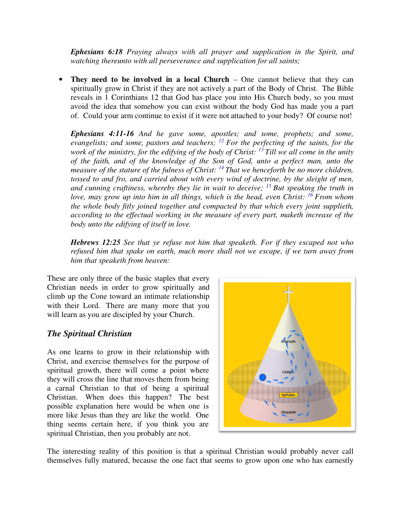*Ephesians 6:18 Praying always with all prayer and supplication in the Spirit, and watching thereunto with all perseverance and supplication for all saints;* 

**They need to be involved in a local Church** – One cannot believe that they can spiritually grow in Christ if they are not actively a part of the Body of Christ. The Bible reveals in 1 Corinthians 12 that God has place you into His Church body, so you must avoid the idea that somehow you can exist without the body God has made you a part of. Could your arm continue to exist if it were not attached to your body? Of course not!

*Ephesians 4:11-16 And he gave some, apostles; and some, prophets; and some, evangelists; and some, pastors and teachers; <sup>12</sup>For the perfecting of the saints, for the work of the ministry, for the edifying of the body of Christ: <sup>13</sup>Till we all come in the unity of the faith, and of the knowledge of the Son of God, unto a perfect man, unto the measure of the stature of the fulness of Christ: <sup>14</sup>That we henceforth be no more children, tossed to and fro, and carried about with every wind of doctrine, by the sleight of men, and cunning craftiness, whereby they lie in wait to deceive; <sup>15</sup>But speaking the truth in love, may grow up into him in all things, which is the head, even Christ: <sup>16</sup>From whom the whole body fitly joined together and compacted by that which every joint supplieth, according to the effectual working in the measure of every part, maketh increase of the body unto the edifying of itself in love.* 

*Hebrews 12:25 See that ye refuse not him that speaketh. For if they escaped not who refused him that spake on earth, much more shall not we escape, if we turn away from him that speaketh from heaven:* 

These are only three of the basic staples that every Christian needs in order to grow spiritually and climb up the Cone toward an intimate relationship with their Lord. There are many more that you will learn as you are discipled by your Church.

### *The Spiritual Christian*

As one learns to grow in their relationship with Christ, and exercise themselves for the purpose of spiritual growth, there will come a point where they will cross the line that moves them from being a carnal Christian to that of being a spiritual Christian. When does this happen? The best possible explanation here would be when one is more like Jesus than they are like the world. One thing seems certain here, if you think you are spiritual Christian, then you probably are not.



The interesting reality of this position is that a spiritual Christian would probably never call themselves fully matured, because the one fact that seems to grow upon one who has earnestly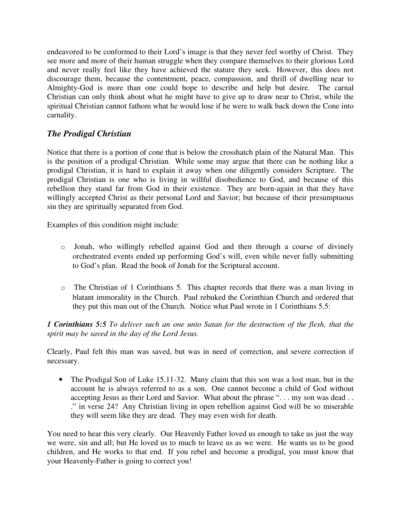endeavored to be conformed to their Lord's image is that they never feel worthy of Christ. They see more and more of their human struggle when they compare themselves to their glorious Lord and never really feel like they have achieved the stature they seek. However, this does not discourage them, because the contentment, peace, compassion, and thrill of dwelling near to Almighty-God is more than one could hope to describe and help but desire. The carnal Christian can only think about what he might have to give up to draw near to Christ, while the spiritual Christian cannot fathom what he would lose if he were to walk back down the Cone into carnality.

# *The Prodigal Christian*

Notice that there is a portion of cone that is below the crosshatch plain of the Natural Man. This is the position of a prodigal Christian. While some may argue that there can be nothing like a prodigal Christian, it is hard to explain it away when one diligently considers Scripture. The prodigal Christian is one who is living in willful disobedience to God, and because of this rebellion they stand far from God in their existence. They are born-again in that they have willingly accepted Christ as their personal Lord and Savior; but because of their presumptuous sin they are spiritually separated from God.

Examples of this condition might include:

- <sup>o</sup> Jonah, who willingly rebelled against God and then through a course of divinely orchestrated events ended up performing God's will, even while never fully submitting to God's plan. Read the book of Jonah for the Scriptural account.
- <sup>o</sup> The Christian of 1 Corinthians 5. This chapter records that there was a man living in blatant immorality in the Church. Paul rebuked the Corinthian Church and ordered that they put this man out of the Church. Notice what Paul wrote in 1 Corinthians 5.5:

*1 Corinthians 5:5 To deliver such an one unto Satan for the destruction of the flesh, that the spirit may be saved in the day of the Lord Jesus.* 

Clearly, Paul felt this man was saved, but was in need of correction, and severe correction if necessary.

• The Prodigal Son of Luke 15.11-32. Many claim that this son was a lost man, but in the account he is always referred to as a son. One cannot become a child of God without accepting Jesus as their Lord and Savior. What about the phrase "... my son was dead... ." in verse 24? Any Christian living in open rebellion against God will be so miserable they will seem like they are dead. They may even wish for death.

You need to hear this very clearly. Our Heavenly Father loved us enough to take us just the way we were, sin and all; but He loved us to much to leave us as we were. He wants us to be good children, and He works to that end. If you rebel and become a prodigal, you must know that your Heavenly-Father is going to correct you!